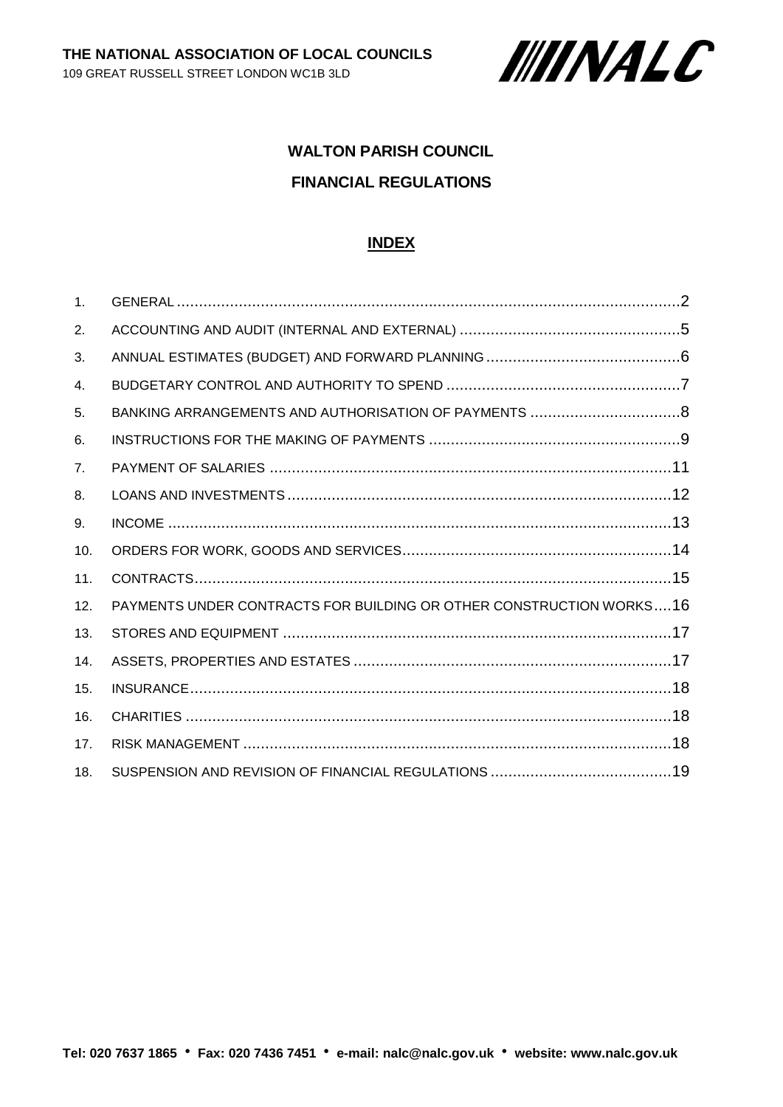

# **WALTON PARISH COUNCIL FINANCIAL REGULATIONS**

#### **INDEX**

| $\mathbf{1}$ . |                                                                     |  |
|----------------|---------------------------------------------------------------------|--|
| 2.             |                                                                     |  |
| 3.             |                                                                     |  |
| 4.             |                                                                     |  |
| 5.             |                                                                     |  |
| 6.             |                                                                     |  |
| 7 <sub>1</sub> |                                                                     |  |
| 8.             |                                                                     |  |
| 9.             |                                                                     |  |
| 10.            |                                                                     |  |
| 11.            |                                                                     |  |
| 12.            | PAYMENTS UNDER CONTRACTS FOR BUILDING OR OTHER CONSTRUCTION WORKS16 |  |
| 13.            |                                                                     |  |
| 14.            |                                                                     |  |
| 15.            |                                                                     |  |
| 16.            |                                                                     |  |
| 17.            |                                                                     |  |
| 18.            |                                                                     |  |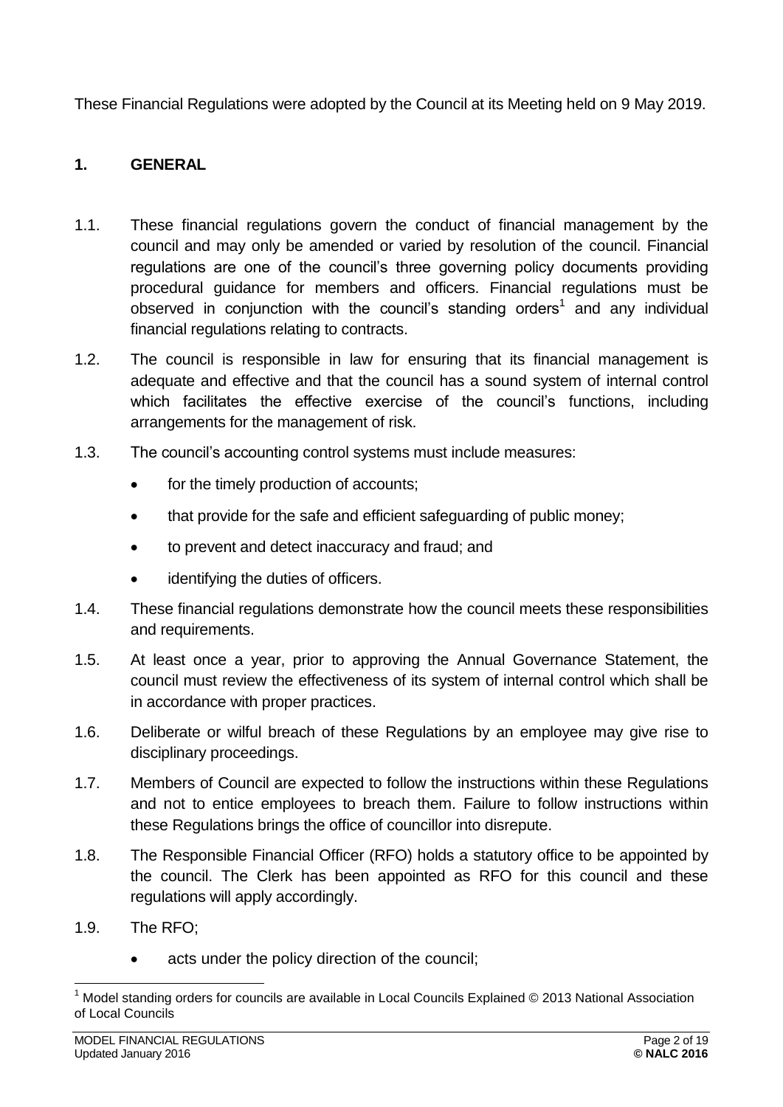These Financial Regulations were adopted by the Council at its Meeting held on 9 May 2019.

# <span id="page-1-0"></span>**1. GENERAL**

- 1.1. These financial regulations govern the conduct of financial management by the council and may only be amended or varied by resolution of the council. Financial regulations are one of the council's three governing policy documents providing procedural guidance for members and officers. Financial regulations must be observed in conjunction with the council's standing orders<sup>1</sup> and any individual financial regulations relating to contracts.
- 1.2. The council is responsible in law for ensuring that its financial management is adequate and effective and that the council has a sound system of internal control which facilitates the effective exercise of the council's functions, including arrangements for the management of risk.
- 1.3. The council's accounting control systems must include measures:
	- for the timely production of accounts;
	- that provide for the safe and efficient safeguarding of public money;
	- to prevent and detect inaccuracy and fraud; and
	- identifying the duties of officers.
- 1.4. These financial regulations demonstrate how the council meets these responsibilities and requirements.
- 1.5. At least once a year, prior to approving the Annual Governance Statement, the council must review the effectiveness of its system of internal control which shall be in accordance with proper practices.
- 1.6. Deliberate or wilful breach of these Regulations by an employee may give rise to disciplinary proceedings.
- 1.7. Members of Council are expected to follow the instructions within these Regulations and not to entice employees to breach them. Failure to follow instructions within these Regulations brings the office of councillor into disrepute.
- 1.8. The Responsible Financial Officer (RFO) holds a statutory office to be appointed by the council. The Clerk has been appointed as RFO for this council and these regulations will apply accordingly.
- 1.9. The RFO;
	- acts under the policy direction of the council;

<sup>1</sup> <sup>1</sup> Model standing orders for councils are available in Local Councils Explained © 2013 National Association of Local Councils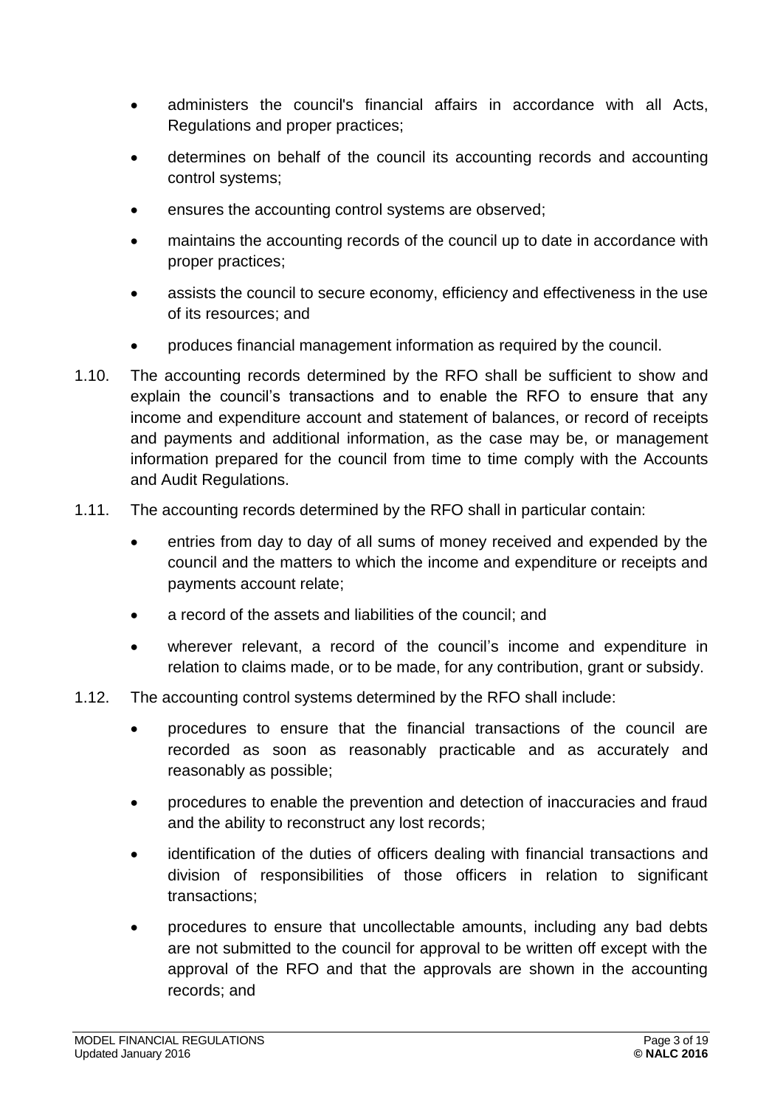- administers the council's financial affairs in accordance with all Acts, Regulations and proper practices;
- determines on behalf of the council its accounting records and accounting control systems;
- ensures the accounting control systems are observed;
- maintains the accounting records of the council up to date in accordance with proper practices;
- assists the council to secure economy, efficiency and effectiveness in the use of its resources; and
- produces financial management information as required by the council.
- 1.10. The accounting records determined by the RFO shall be sufficient to show and explain the council's transactions and to enable the RFO to ensure that any income and expenditure account and statement of balances, or record of receipts and payments and additional information, as the case may be, or management information prepared for the council from time to time comply with the Accounts and Audit Regulations.
- 1.11. The accounting records determined by the RFO shall in particular contain:
	- entries from day to day of all sums of money received and expended by the council and the matters to which the income and expenditure or receipts and payments account relate;
	- a record of the assets and liabilities of the council: and
	- wherever relevant, a record of the council's income and expenditure in relation to claims made, or to be made, for any contribution, grant or subsidy.
- 1.12. The accounting control systems determined by the RFO shall include:
	- procedures to ensure that the financial transactions of the council are recorded as soon as reasonably practicable and as accurately and reasonably as possible;
	- procedures to enable the prevention and detection of inaccuracies and fraud and the ability to reconstruct any lost records;
	- identification of the duties of officers dealing with financial transactions and division of responsibilities of those officers in relation to significant transactions;
	- procedures to ensure that uncollectable amounts, including any bad debts are not submitted to the council for approval to be written off except with the approval of the RFO and that the approvals are shown in the accounting records; and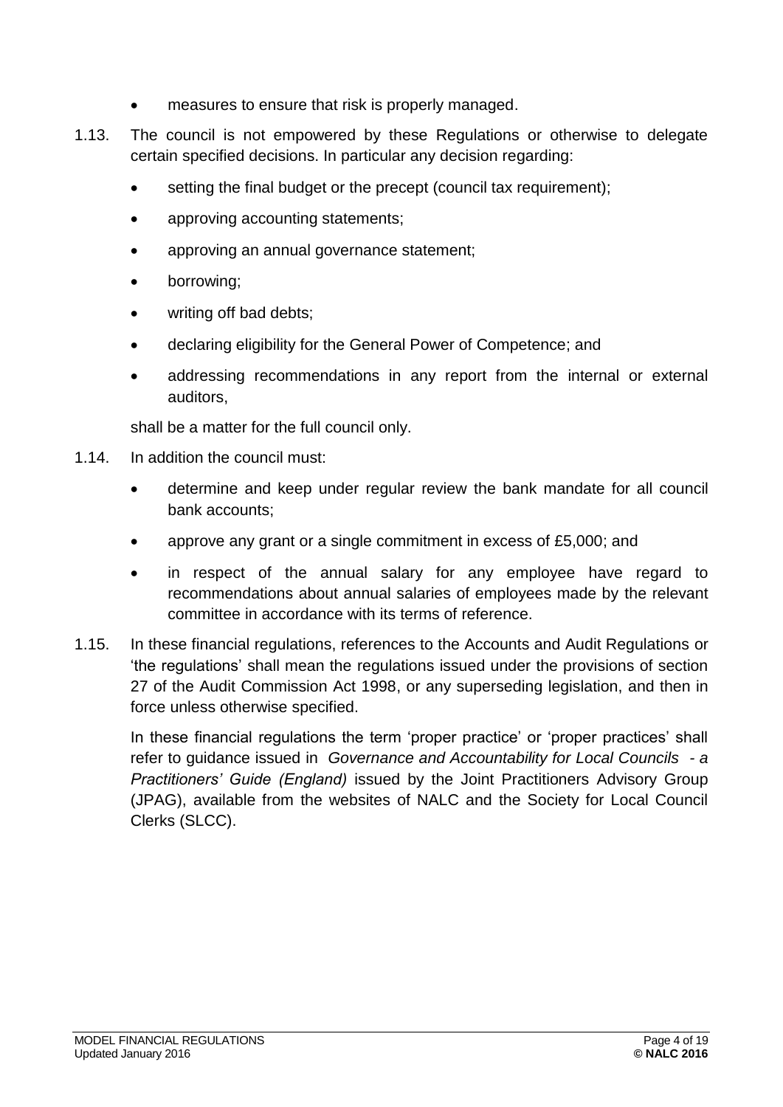- measures to ensure that risk is properly managed.
- 1.13. The council is not empowered by these Regulations or otherwise to delegate certain specified decisions. In particular any decision regarding:
	- setting the final budget or the precept (council tax requirement);
	- approving accounting statements;
	- approving an annual governance statement;
	- borrowing;
	- writing off bad debts;
	- declaring eligibility for the General Power of Competence; and
	- addressing recommendations in any report from the internal or external auditors,

shall be a matter for the full council only.

- 1.14. In addition the council must:
	- determine and keep under regular review the bank mandate for all council bank accounts;
	- approve any grant or a single commitment in excess of £5,000; and
	- in respect of the annual salary for any employee have regard to recommendations about annual salaries of employees made by the relevant committee in accordance with its terms of reference.
- 1.15. In these financial regulations, references to the Accounts and Audit Regulations or 'the regulations' shall mean the regulations issued under the provisions of section 27 of the Audit Commission Act 1998, or any superseding legislation, and then in force unless otherwise specified.

<span id="page-3-0"></span>In these financial regulations the term 'proper practice' or 'proper practices' shall refer to guidance issued in *Governance and Accountability for Local Councils - a Practitioners' Guide (England)* issued by the Joint Practitioners Advisory Group (JPAG), available from the websites of NALC and the Society for Local Council Clerks (SLCC).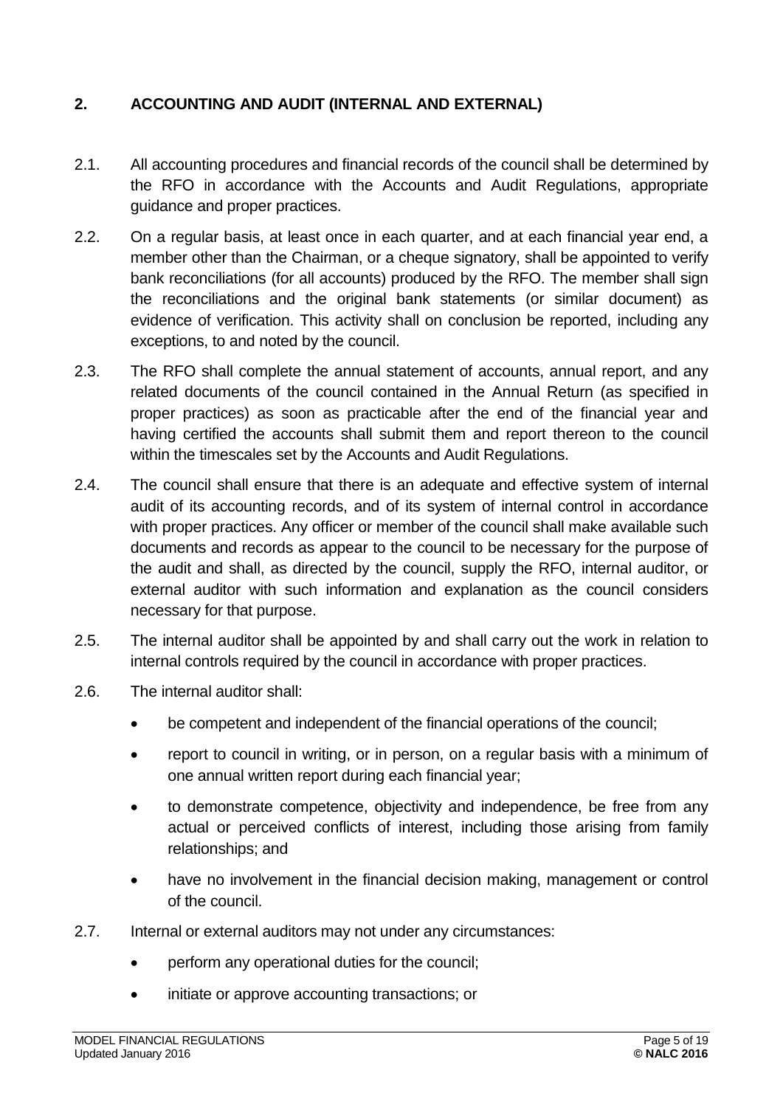# **2. ACCOUNTING AND AUDIT (INTERNAL AND EXTERNAL)**

- 2.1. All accounting procedures and financial records of the council shall be determined by the RFO in accordance with the Accounts and Audit Regulations, appropriate guidance and proper practices.
- 2.2. On a regular basis, at least once in each quarter, and at each financial year end, a member other than the Chairman, or a cheque signatory, shall be appointed to verify bank reconciliations (for all accounts) produced by the RFO. The member shall sign the reconciliations and the original bank statements (or similar document) as evidence of verification. This activity shall on conclusion be reported, including any exceptions, to and noted by the council.
- 2.3. The RFO shall complete the annual statement of accounts, annual report, and any related documents of the council contained in the Annual Return (as specified in proper practices) as soon as practicable after the end of the financial year and having certified the accounts shall submit them and report thereon to the council within the timescales set by the Accounts and Audit Regulations.
- 2.4. The council shall ensure that there is an adequate and effective system of internal audit of its accounting records, and of its system of internal control in accordance with proper practices. Any officer or member of the council shall make available such documents and records as appear to the council to be necessary for the purpose of the audit and shall, as directed by the council, supply the RFO, internal auditor, or external auditor with such information and explanation as the council considers necessary for that purpose.
- 2.5. The internal auditor shall be appointed by and shall carry out the work in relation to internal controls required by the council in accordance with proper practices.
- 2.6. The internal auditor shall:
	- be competent and independent of the financial operations of the council;
	- report to council in writing, or in person, on a regular basis with a minimum of one annual written report during each financial year;
	- to demonstrate competence, objectivity and independence, be free from any actual or perceived conflicts of interest, including those arising from family relationships; and
	- have no involvement in the financial decision making, management or control of the council.
- 2.7. Internal or external auditors may not under any circumstances:
	- perform any operational duties for the council;
	- initiate or approve accounting transactions; or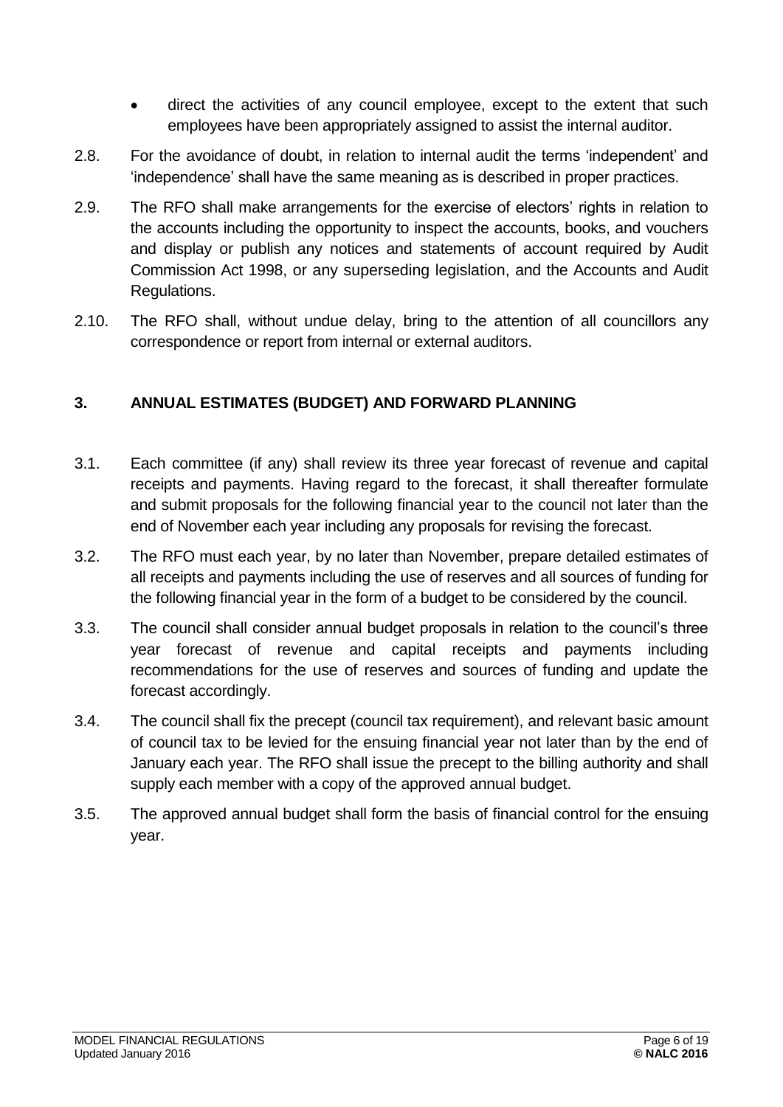- direct the activities of any council employee, except to the extent that such employees have been appropriately assigned to assist the internal auditor.
- 2.8. For the avoidance of doubt, in relation to internal audit the terms 'independent' and 'independence' shall have the same meaning as is described in proper practices.
- 2.9. The RFO shall make arrangements for the exercise of electors' rights in relation to the accounts including the opportunity to inspect the accounts, books, and vouchers and display or publish any notices and statements of account required by Audit Commission Act 1998, or any superseding legislation, and the Accounts and Audit Regulations.
- 2.10. The RFO shall, without undue delay, bring to the attention of all councillors any correspondence or report from internal or external auditors.

# <span id="page-5-0"></span>**3. ANNUAL ESTIMATES (BUDGET) AND FORWARD PLANNING**

- 3.1. Each committee (if any) shall review its three year forecast of revenue and capital receipts and payments. Having regard to the forecast, it shall thereafter formulate and submit proposals for the following financial year to the council not later than the end of November each year including any proposals for revising the forecast.
- 3.2. The RFO must each year, by no later than November, prepare detailed estimates of all receipts and payments including the use of reserves and all sources of funding for the following financial year in the form of a budget to be considered by the council.
- 3.3. The council shall consider annual budget proposals in relation to the council's three year forecast of revenue and capital receipts and payments including recommendations for the use of reserves and sources of funding and update the forecast accordingly.
- 3.4. The council shall fix the precept (council tax requirement), and relevant basic amount of council tax to be levied for the ensuing financial year not later than by the end of January each year. The RFO shall issue the precept to the billing authority and shall supply each member with a copy of the approved annual budget.
- <span id="page-5-1"></span>3.5. The approved annual budget shall form the basis of financial control for the ensuing year.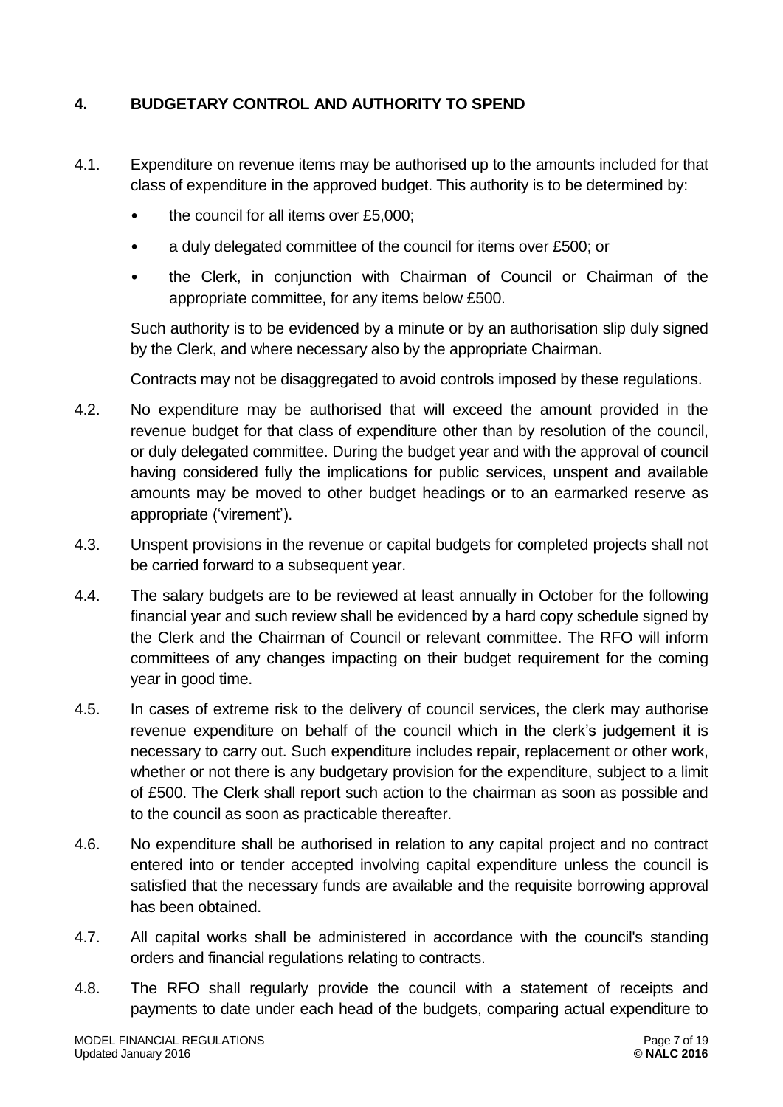# **4. BUDGETARY CONTROL AND AUTHORITY TO SPEND**

- 4.1. Expenditure on revenue items may be authorised up to the amounts included for that class of expenditure in the approved budget. This authority is to be determined by:
	- the council for all items over £5,000;
	- a duly delegated committee of the council for items over £500; or
	- the Clerk, in conjunction with Chairman of Council or Chairman of the appropriate committee, for any items below £500.

Such authority is to be evidenced by a minute or by an authorisation slip duly signed by the Clerk, and where necessary also by the appropriate Chairman.

Contracts may not be disaggregated to avoid controls imposed by these regulations.

- 4.2. No expenditure may be authorised that will exceed the amount provided in the revenue budget for that class of expenditure other than by resolution of the council, or duly delegated committee. During the budget year and with the approval of council having considered fully the implications for public services, unspent and available amounts may be moved to other budget headings or to an earmarked reserve as appropriate ('virement').
- 4.3. Unspent provisions in the revenue or capital budgets for completed projects shall not be carried forward to a subsequent year.
- 4.4. The salary budgets are to be reviewed at least annually in October for the following financial year and such review shall be evidenced by a hard copy schedule signed by the Clerk and the Chairman of Council or relevant committee. The RFO will inform committees of any changes impacting on their budget requirement for the coming year in good time.
- 4.5. In cases of extreme risk to the delivery of council services, the clerk may authorise revenue expenditure on behalf of the council which in the clerk's judgement it is necessary to carry out. Such expenditure includes repair, replacement or other work, whether or not there is any budgetary provision for the expenditure, subject to a limit of £500. The Clerk shall report such action to the chairman as soon as possible and to the council as soon as practicable thereafter.
- 4.6. No expenditure shall be authorised in relation to any capital project and no contract entered into or tender accepted involving capital expenditure unless the council is satisfied that the necessary funds are available and the requisite borrowing approval has been obtained.
- 4.7. All capital works shall be administered in accordance with the council's standing orders and financial regulations relating to contracts.
- 4.8. The RFO shall regularly provide the council with a statement of receipts and payments to date under each head of the budgets, comparing actual expenditure to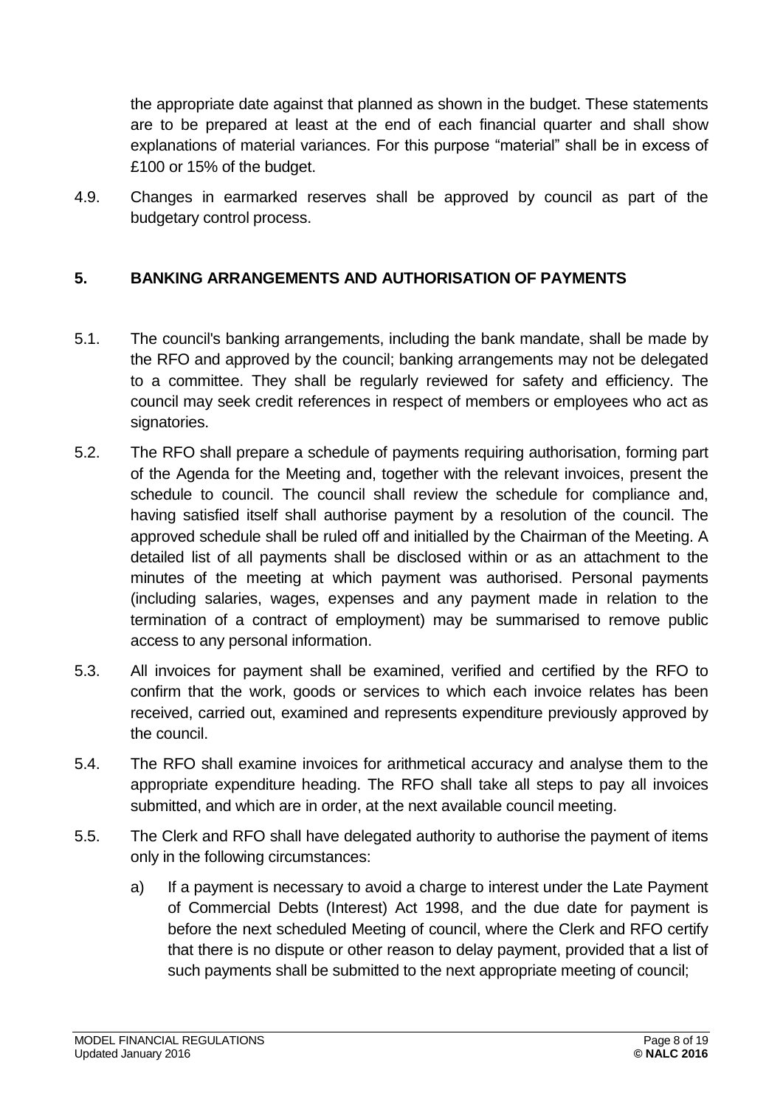the appropriate date against that planned as shown in the budget. These statements are to be prepared at least at the end of each financial quarter and shall show explanations of material variances. For this purpose "material" shall be in excess of £100 or 15% of the budget.

4.9. Changes in earmarked reserves shall be approved by council as part of the budgetary control process.

# <span id="page-7-0"></span>**5. BANKING ARRANGEMENTS AND AUTHORISATION OF PAYMENTS**

- 5.1. The council's banking arrangements, including the bank mandate, shall be made by the RFO and approved by the council; banking arrangements may not be delegated to a committee. They shall be regularly reviewed for safety and efficiency. The council may seek credit references in respect of members or employees who act as signatories.
- 5.2. The RFO shall prepare a schedule of payments requiring authorisation, forming part of the Agenda for the Meeting and, together with the relevant invoices, present the schedule to council. The council shall review the schedule for compliance and, having satisfied itself shall authorise payment by a resolution of the council. The approved schedule shall be ruled off and initialled by the Chairman of the Meeting. A detailed list of all payments shall be disclosed within or as an attachment to the minutes of the meeting at which payment was authorised. Personal payments (including salaries, wages, expenses and any payment made in relation to the termination of a contract of employment) may be summarised to remove public access to any personal information.
- 5.3. All invoices for payment shall be examined, verified and certified by the RFO to confirm that the work, goods or services to which each invoice relates has been received, carried out, examined and represents expenditure previously approved by the council.
- 5.4. The RFO shall examine invoices for arithmetical accuracy and analyse them to the appropriate expenditure heading. The RFO shall take all steps to pay all invoices submitted, and which are in order, at the next available council meeting.
- 5.5. The Clerk and RFO shall have delegated authority to authorise the payment of items only in the following circumstances:
	- a) If a payment is necessary to avoid a charge to interest under the Late Payment of Commercial Debts (Interest) Act 1998, and the due date for payment is before the next scheduled Meeting of council, where the Clerk and RFO certify that there is no dispute or other reason to delay payment, provided that a list of such payments shall be submitted to the next appropriate meeting of council;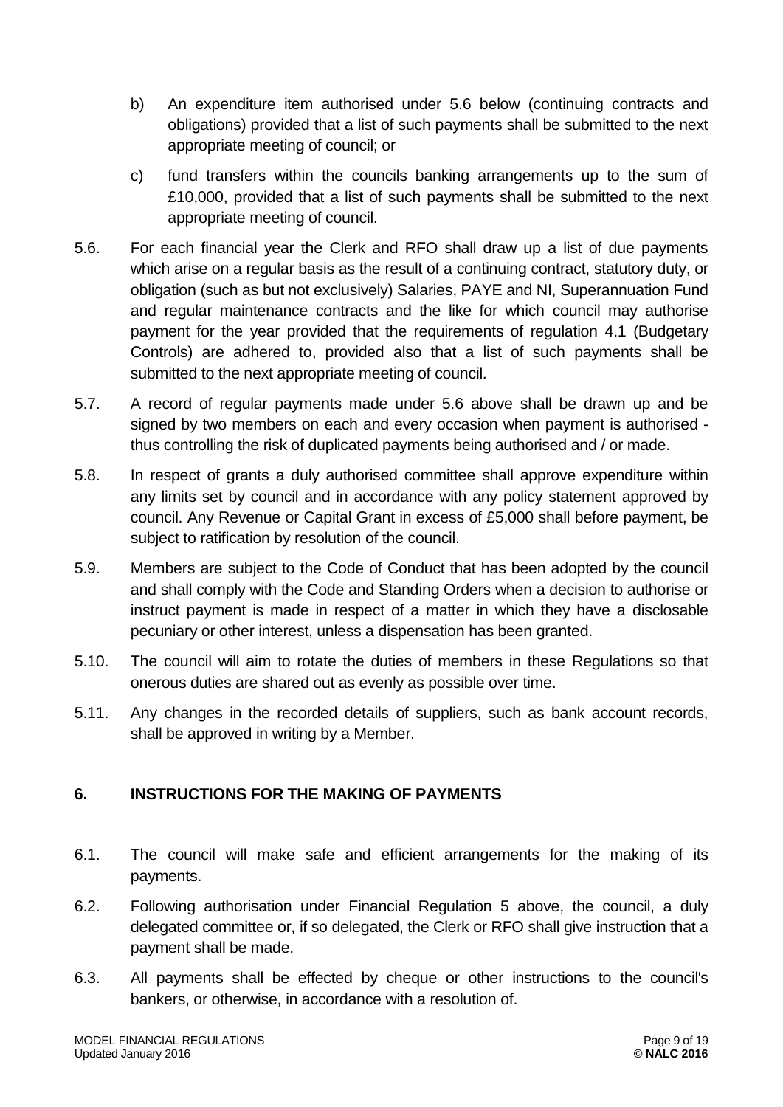- b) An expenditure item authorised under 5.6 below (continuing contracts and obligations) provided that a list of such payments shall be submitted to the next appropriate meeting of council; or
- c) fund transfers within the councils banking arrangements up to the sum of £10,000, provided that a list of such payments shall be submitted to the next appropriate meeting of council.
- 5.6. For each financial year the Clerk and RFO shall draw up a list of due payments which arise on a regular basis as the result of a continuing contract, statutory duty, or obligation (such as but not exclusively) Salaries, PAYE and NI, Superannuation Fund and regular maintenance contracts and the like for which council may authorise payment for the year provided that the requirements of regulation 4.1 (Budgetary Controls) are adhered to, provided also that a list of such payments shall be submitted to the next appropriate meeting of council.
- 5.7. A record of regular payments made under 5.6 above shall be drawn up and be signed by two members on each and every occasion when payment is authorised thus controlling the risk of duplicated payments being authorised and / or made.
- 5.8. In respect of grants a duly authorised committee shall approve expenditure within any limits set by council and in accordance with any policy statement approved by council. Any Revenue or Capital Grant in excess of £5,000 shall before payment, be subject to ratification by resolution of the council.
- 5.9. Members are subject to the Code of Conduct that has been adopted by the council and shall comply with the Code and Standing Orders when a decision to authorise or instruct payment is made in respect of a matter in which they have a disclosable pecuniary or other interest, unless a dispensation has been granted.
- 5.10. The council will aim to rotate the duties of members in these Regulations so that onerous duties are shared out as evenly as possible over time.
- 5.11. Any changes in the recorded details of suppliers, such as bank account records, shall be approved in writing by a Member.

# <span id="page-8-0"></span>**6. INSTRUCTIONS FOR THE MAKING OF PAYMENTS**

- 6.1. The council will make safe and efficient arrangements for the making of its payments.
- 6.2. Following authorisation under Financial Regulation 5 above, the council, a duly delegated committee or, if so delegated, the Clerk or RFO shall give instruction that a payment shall be made.
- 6.3. All payments shall be effected by cheque or other instructions to the council's bankers, or otherwise, in accordance with a resolution of.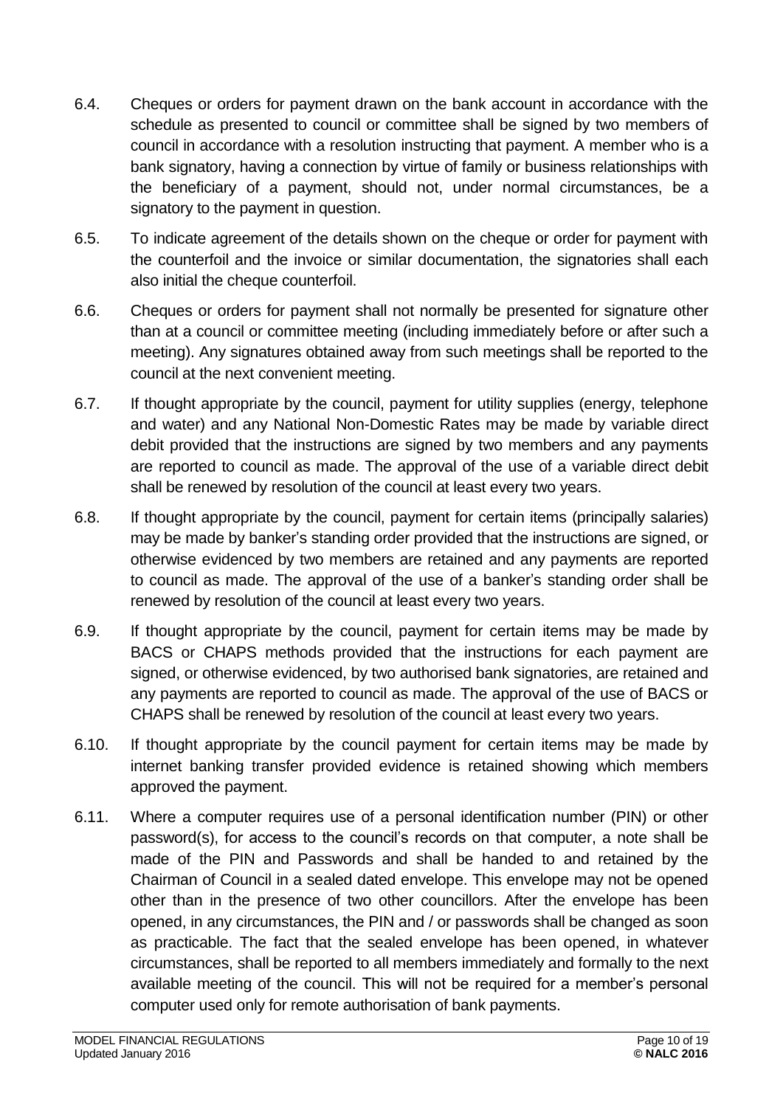- 6.4. Cheques or orders for payment drawn on the bank account in accordance with the schedule as presented to council or committee shall be signed by two members of council in accordance with a resolution instructing that payment. A member who is a bank signatory, having a connection by virtue of family or business relationships with the beneficiary of a payment, should not, under normal circumstances, be a signatory to the payment in question.
- 6.5. To indicate agreement of the details shown on the cheque or order for payment with the counterfoil and the invoice or similar documentation, the signatories shall each also initial the cheque counterfoil.
- 6.6. Cheques or orders for payment shall not normally be presented for signature other than at a council or committee meeting (including immediately before or after such a meeting). Any signatures obtained away from such meetings shall be reported to the council at the next convenient meeting.
- 6.7. If thought appropriate by the council, payment for utility supplies (energy, telephone and water) and any National Non-Domestic Rates may be made by variable direct debit provided that the instructions are signed by two members and any payments are reported to council as made. The approval of the use of a variable direct debit shall be renewed by resolution of the council at least every two years.
- 6.8. If thought appropriate by the council, payment for certain items (principally salaries) may be made by banker's standing order provided that the instructions are signed, or otherwise evidenced by two members are retained and any payments are reported to council as made. The approval of the use of a banker's standing order shall be renewed by resolution of the council at least every two years.
- 6.9. If thought appropriate by the council, payment for certain items may be made by BACS or CHAPS methods provided that the instructions for each payment are signed, or otherwise evidenced, by two authorised bank signatories, are retained and any payments are reported to council as made. The approval of the use of BACS or CHAPS shall be renewed by resolution of the council at least every two years.
- 6.10. If thought appropriate by the council payment for certain items may be made by internet banking transfer provided evidence is retained showing which members approved the payment.
- 6.11. Where a computer requires use of a personal identification number (PIN) or other password(s), for access to the council's records on that computer, a note shall be made of the PIN and Passwords and shall be handed to and retained by the Chairman of Council in a sealed dated envelope. This envelope may not be opened other than in the presence of two other councillors. After the envelope has been opened, in any circumstances, the PIN and / or passwords shall be changed as soon as practicable. The fact that the sealed envelope has been opened, in whatever circumstances, shall be reported to all members immediately and formally to the next available meeting of the council. This will not be required for a member's personal computer used only for remote authorisation of bank payments.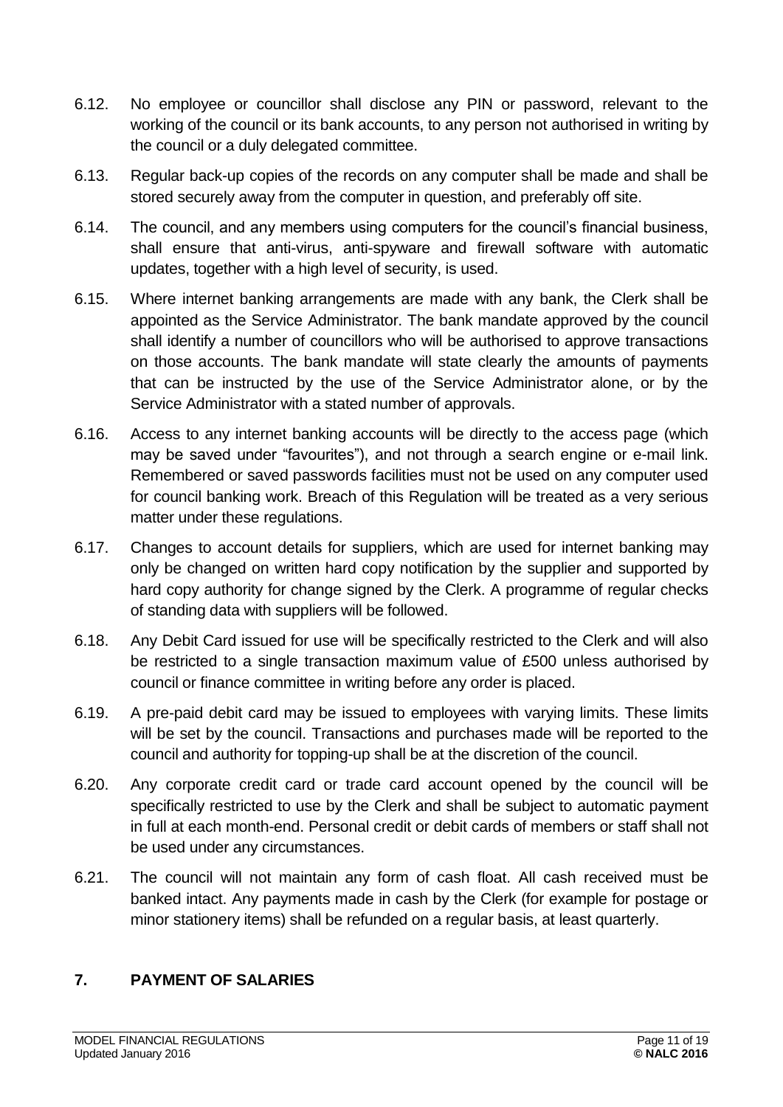- 6.12. No employee or councillor shall disclose any PIN or password, relevant to the working of the council or its bank accounts, to any person not authorised in writing by the council or a duly delegated committee.
- 6.13. Regular back-up copies of the records on any computer shall be made and shall be stored securely away from the computer in question, and preferably off site.
- 6.14. The council, and any members using computers for the council's financial business, shall ensure that anti-virus, anti-spyware and firewall software with automatic updates, together with a high level of security, is used.
- 6.15. Where internet banking arrangements are made with any bank, the Clerk shall be appointed as the Service Administrator. The bank mandate approved by the council shall identify a number of councillors who will be authorised to approve transactions on those accounts. The bank mandate will state clearly the amounts of payments that can be instructed by the use of the Service Administrator alone, or by the Service Administrator with a stated number of approvals.
- 6.16. Access to any internet banking accounts will be directly to the access page (which may be saved under "favourites"), and not through a search engine or e-mail link. Remembered or saved passwords facilities must not be used on any computer used for council banking work. Breach of this Regulation will be treated as a very serious matter under these regulations.
- 6.17. Changes to account details for suppliers, which are used for internet banking may only be changed on written hard copy notification by the supplier and supported by hard copy authority for change signed by the Clerk. A programme of regular checks of standing data with suppliers will be followed.
- 6.18. Any Debit Card issued for use will be specifically restricted to the Clerk and will also be restricted to a single transaction maximum value of £500 unless authorised by council or finance committee in writing before any order is placed.
- 6.19. A pre-paid debit card may be issued to employees with varying limits. These limits will be set by the council. Transactions and purchases made will be reported to the council and authority for topping-up shall be at the discretion of the council.
- 6.20. Any corporate credit card or trade card account opened by the council will be specifically restricted to use by the Clerk and shall be subject to automatic payment in full at each month-end. Personal credit or debit cards of members or staff shall not be used under any circumstances.
- 6.21. The council will not maintain any form of cash float. All cash received must be banked intact. Any payments made in cash by the Clerk (for example for postage or minor stationery items) shall be refunded on a regular basis, at least quarterly.

# <span id="page-10-0"></span>**7. PAYMENT OF SALARIES**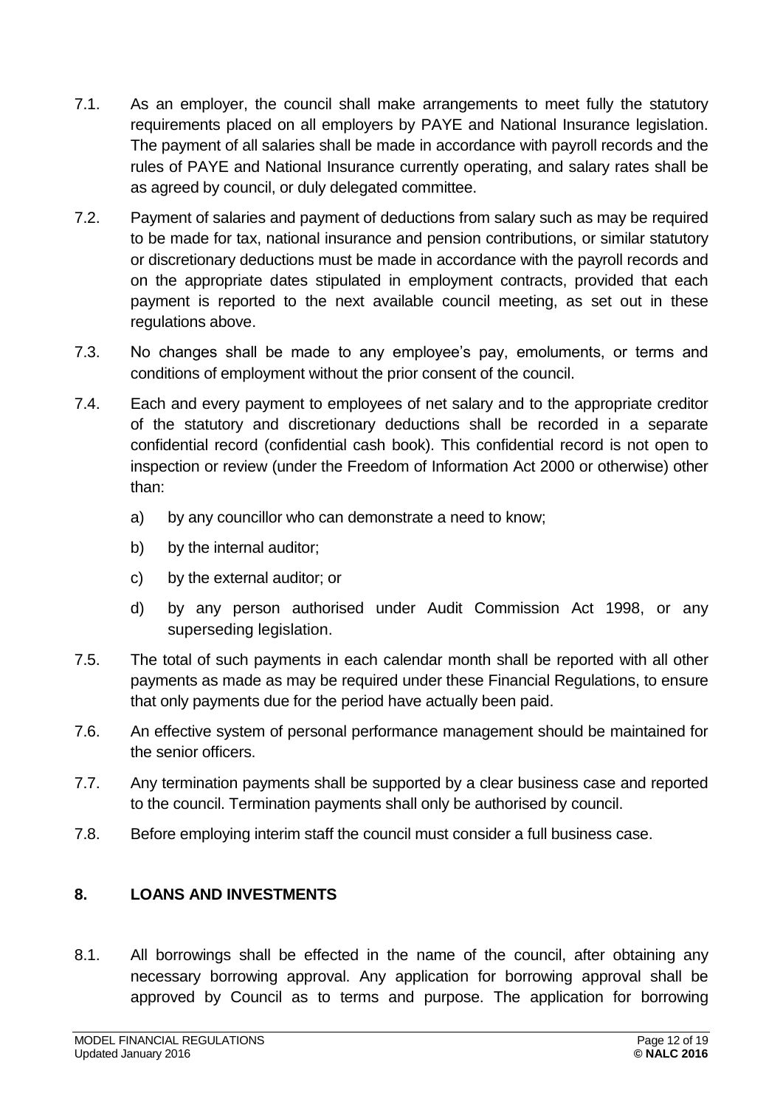- 7.1. As an employer, the council shall make arrangements to meet fully the statutory requirements placed on all employers by PAYE and National Insurance legislation. The payment of all salaries shall be made in accordance with payroll records and the rules of PAYE and National Insurance currently operating, and salary rates shall be as agreed by council, or duly delegated committee.
- 7.2. Payment of salaries and payment of deductions from salary such as may be required to be made for tax, national insurance and pension contributions, or similar statutory or discretionary deductions must be made in accordance with the payroll records and on the appropriate dates stipulated in employment contracts, provided that each payment is reported to the next available council meeting, as set out in these regulations above.
- 7.3. No changes shall be made to any employee's pay, emoluments, or terms and conditions of employment without the prior consent of the council.
- 7.4. Each and every payment to employees of net salary and to the appropriate creditor of the statutory and discretionary deductions shall be recorded in a separate confidential record (confidential cash book). This confidential record is not open to inspection or review (under the Freedom of Information Act 2000 or otherwise) other than:
	- a) by any councillor who can demonstrate a need to know;
	- b) by the internal auditor;
	- c) by the external auditor; or
	- d) by any person authorised under Audit Commission Act 1998, or any superseding legislation.
- 7.5. The total of such payments in each calendar month shall be reported with all other payments as made as may be required under these Financial Regulations, to ensure that only payments due for the period have actually been paid.
- 7.6. An effective system of personal performance management should be maintained for the senior officers.
- 7.7. Any termination payments shall be supported by a clear business case and reported to the council. Termination payments shall only be authorised by council.
- 7.8. Before employing interim staff the council must consider a full business case.

# <span id="page-11-0"></span>**8. LOANS AND INVESTMENTS**

8.1. All borrowings shall be effected in the name of the council, after obtaining any necessary borrowing approval. Any application for borrowing approval shall be approved by Council as to terms and purpose. The application for borrowing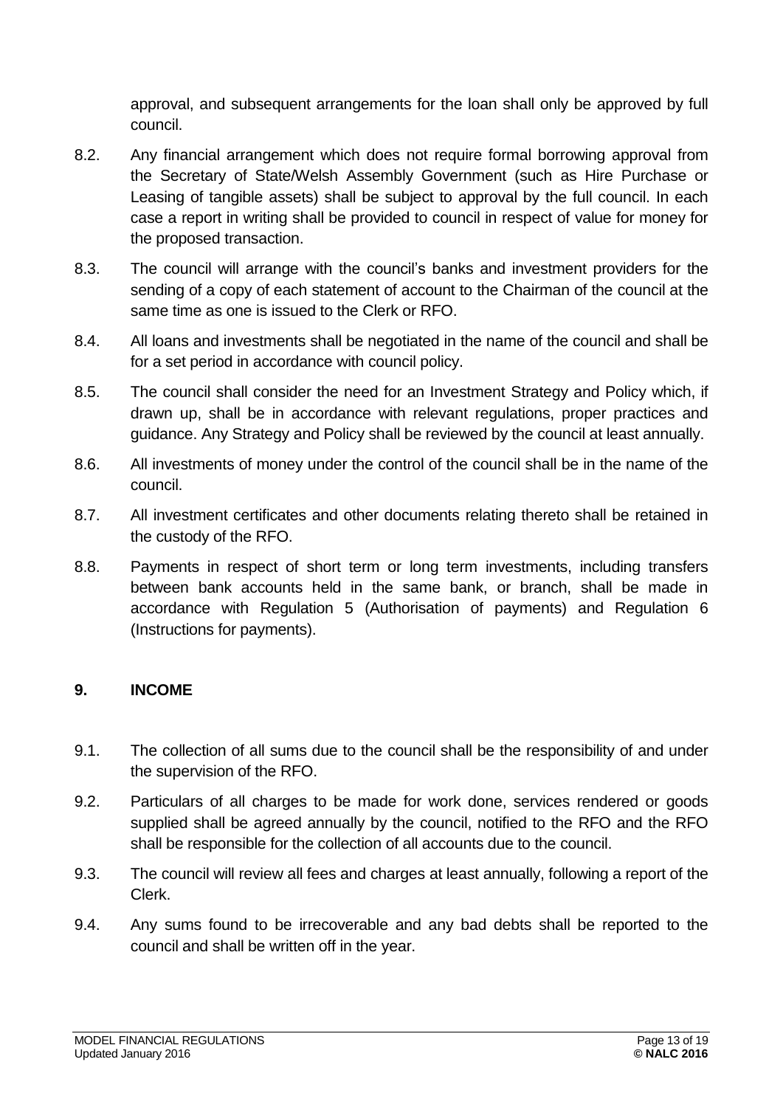approval, and subsequent arrangements for the loan shall only be approved by full council.

- 8.2. Any financial arrangement which does not require formal borrowing approval from the Secretary of State/Welsh Assembly Government (such as Hire Purchase or Leasing of tangible assets) shall be subject to approval by the full council. In each case a report in writing shall be provided to council in respect of value for money for the proposed transaction.
- 8.3. The council will arrange with the council's banks and investment providers for the sending of a copy of each statement of account to the Chairman of the council at the same time as one is issued to the Clerk or RFO.
- 8.4. All loans and investments shall be negotiated in the name of the council and shall be for a set period in accordance with council policy.
- 8.5. The council shall consider the need for an Investment Strategy and Policy which, if drawn up, shall be in accordance with relevant regulations, proper practices and guidance. Any Strategy and Policy shall be reviewed by the council at least annually.
- 8.6. All investments of money under the control of the council shall be in the name of the council.
- 8.7. All investment certificates and other documents relating thereto shall be retained in the custody of the RFO.
- 8.8. Payments in respect of short term or long term investments, including transfers between bank accounts held in the same bank, or branch, shall be made in accordance with Regulation 5 (Authorisation of payments) and Regulation 6 (Instructions for payments).

#### <span id="page-12-0"></span>**9. INCOME**

- 9.1. The collection of all sums due to the council shall be the responsibility of and under the supervision of the RFO.
- 9.2. Particulars of all charges to be made for work done, services rendered or goods supplied shall be agreed annually by the council, notified to the RFO and the RFO shall be responsible for the collection of all accounts due to the council.
- 9.3. The council will review all fees and charges at least annually, following a report of the Clerk.
- 9.4. Any sums found to be irrecoverable and any bad debts shall be reported to the council and shall be written off in the year.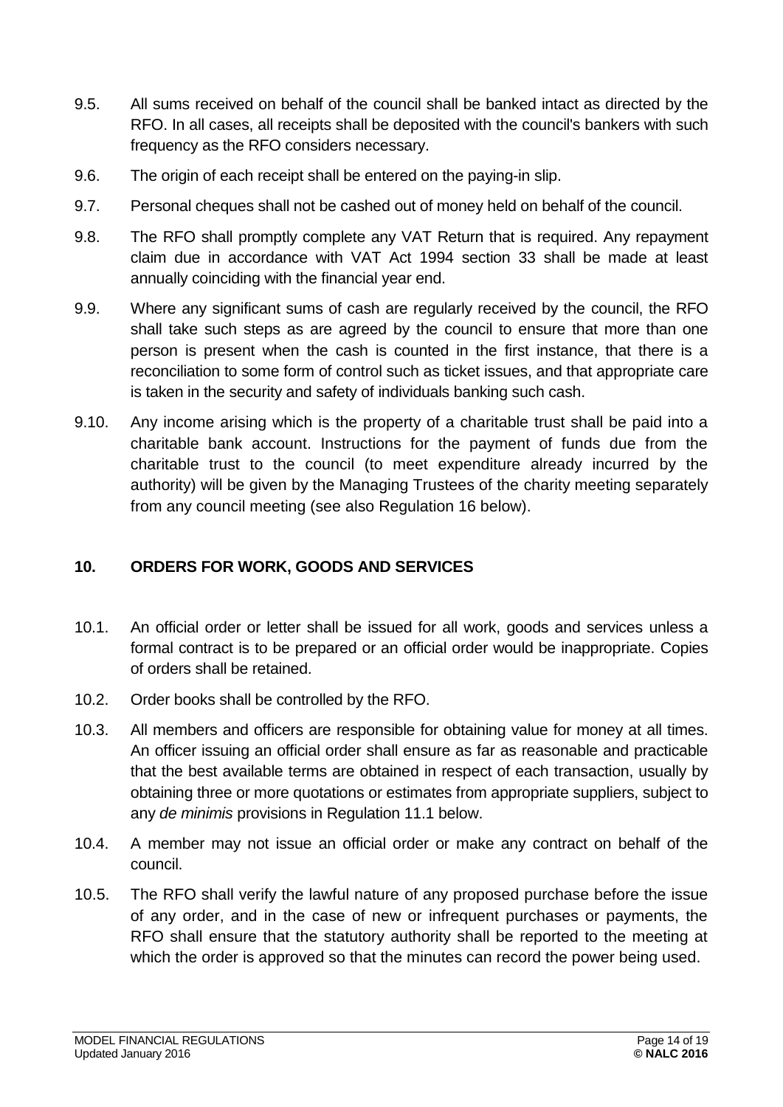- 9.5. All sums received on behalf of the council shall be banked intact as directed by the RFO. In all cases, all receipts shall be deposited with the council's bankers with such frequency as the RFO considers necessary.
- 9.6. The origin of each receipt shall be entered on the paying-in slip.
- 9.7. Personal cheques shall not be cashed out of money held on behalf of the council.
- 9.8. The RFO shall promptly complete any VAT Return that is required. Any repayment claim due in accordance with VAT Act 1994 section 33 shall be made at least annually coinciding with the financial year end.
- 9.9. Where any significant sums of cash are regularly received by the council, the RFO shall take such steps as are agreed by the council to ensure that more than one person is present when the cash is counted in the first instance, that there is a reconciliation to some form of control such as ticket issues, and that appropriate care is taken in the security and safety of individuals banking such cash.
- 9.10. Any income arising which is the property of a charitable trust shall be paid into a charitable bank account. Instructions for the payment of funds due from the charitable trust to the council (to meet expenditure already incurred by the authority) will be given by the Managing Trustees of the charity meeting separately from any council meeting (see also Regulation 16 below).

# <span id="page-13-0"></span>**10. ORDERS FOR WORK, GOODS AND SERVICES**

- 10.1. An official order or letter shall be issued for all work, goods and services unless a formal contract is to be prepared or an official order would be inappropriate. Copies of orders shall be retained.
- 10.2. Order books shall be controlled by the RFO.
- 10.3. All members and officers are responsible for obtaining value for money at all times. An officer issuing an official order shall ensure as far as reasonable and practicable that the best available terms are obtained in respect of each transaction, usually by obtaining three or more quotations or estimates from appropriate suppliers, subject to any *de minimis* provisions in Regulation 11.1 below.
- 10.4. A member may not issue an official order or make any contract on behalf of the council.
- 10.5. The RFO shall verify the lawful nature of any proposed purchase before the issue of any order, and in the case of new or infrequent purchases or payments, the RFO shall ensure that the statutory authority shall be reported to the meeting at which the order is approved so that the minutes can record the power being used.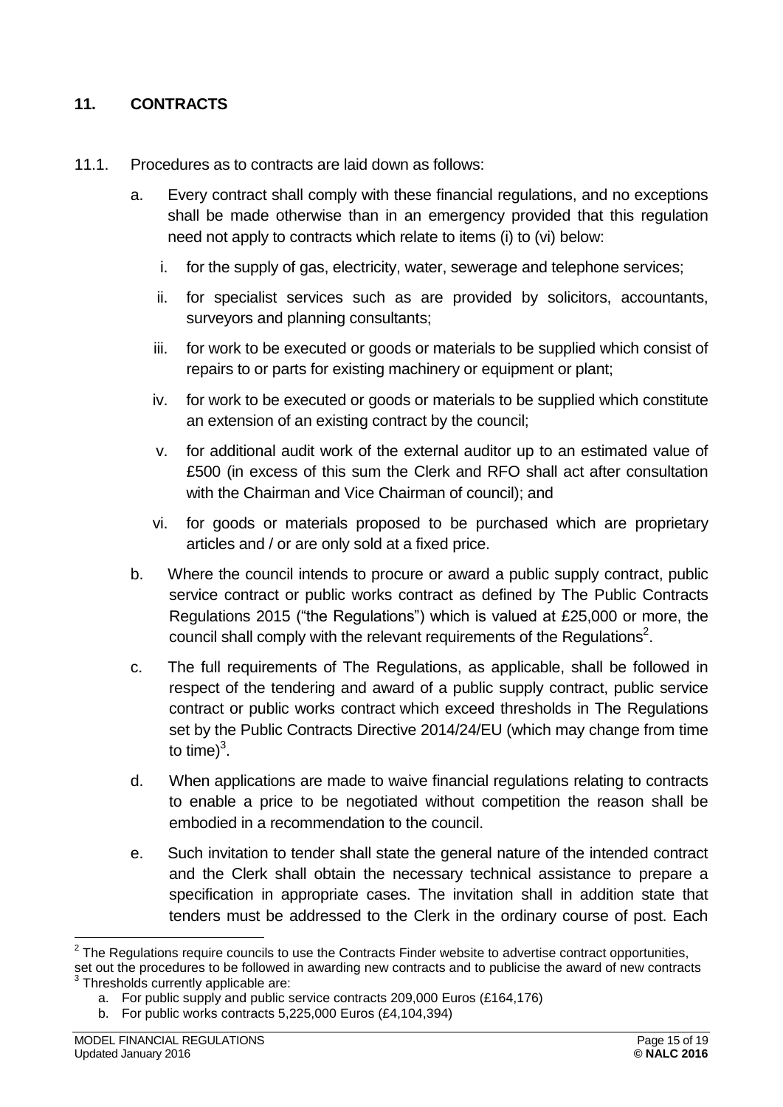# <span id="page-14-0"></span>**11. CONTRACTS**

- 11.1. Procedures as to contracts are laid down as follows:
	- a. Every contract shall comply with these financial regulations, and no exceptions shall be made otherwise than in an emergency provided that this regulation need not apply to contracts which relate to items (i) to (vi) below:
		- i. for the supply of gas, electricity, water, sewerage and telephone services;
		- ii. for specialist services such as are provided by solicitors, accountants, surveyors and planning consultants;
		- iii. for work to be executed or goods or materials to be supplied which consist of repairs to or parts for existing machinery or equipment or plant;
		- iv. for work to be executed or goods or materials to be supplied which constitute an extension of an existing contract by the council;
		- v. for additional audit work of the external auditor up to an estimated value of £500 (in excess of this sum the Clerk and RFO shall act after consultation with the Chairman and Vice Chairman of council); and
		- vi. for goods or materials proposed to be purchased which are proprietary articles and / or are only sold at a fixed price.
	- b. Where the council intends to procure or award a public supply contract, public service contract or public works contract as defined by The Public Contracts Regulations 2015 ("the Regulations") which is valued at £25,000 or more, the council shall comply with the relevant requirements of the Regulations<sup>2</sup>.
	- c. The full requirements of The Regulations, as applicable, shall be followed in respect of the tendering and award of a public supply contract, public service contract or public works contract which exceed thresholds in The Regulations set by the Public Contracts Directive 2014/24/EU (which may change from time to time) $3$ .
	- d. When applications are made to waive financial regulations relating to contracts to enable a price to be negotiated without competition the reason shall be embodied in a recommendation to the council.
	- e. Such invitation to tender shall state the general nature of the intended contract and the Clerk shall obtain the necessary technical assistance to prepare a specification in appropriate cases. The invitation shall in addition state that tenders must be addressed to the Clerk in the ordinary course of post. Each

<sup>1</sup>  $2$  The Regulations require councils to use the Contracts Finder website to advertise contract opportunities,

set out the procedures to be followed in awarding new contracts and to publicise the award of new contracts 3 Thresholds currently applicable are:

a. For public supply and public service contracts 209,000 Euros (£164,176)

b. For public works contracts 5,225,000 Euros (£4,104,394)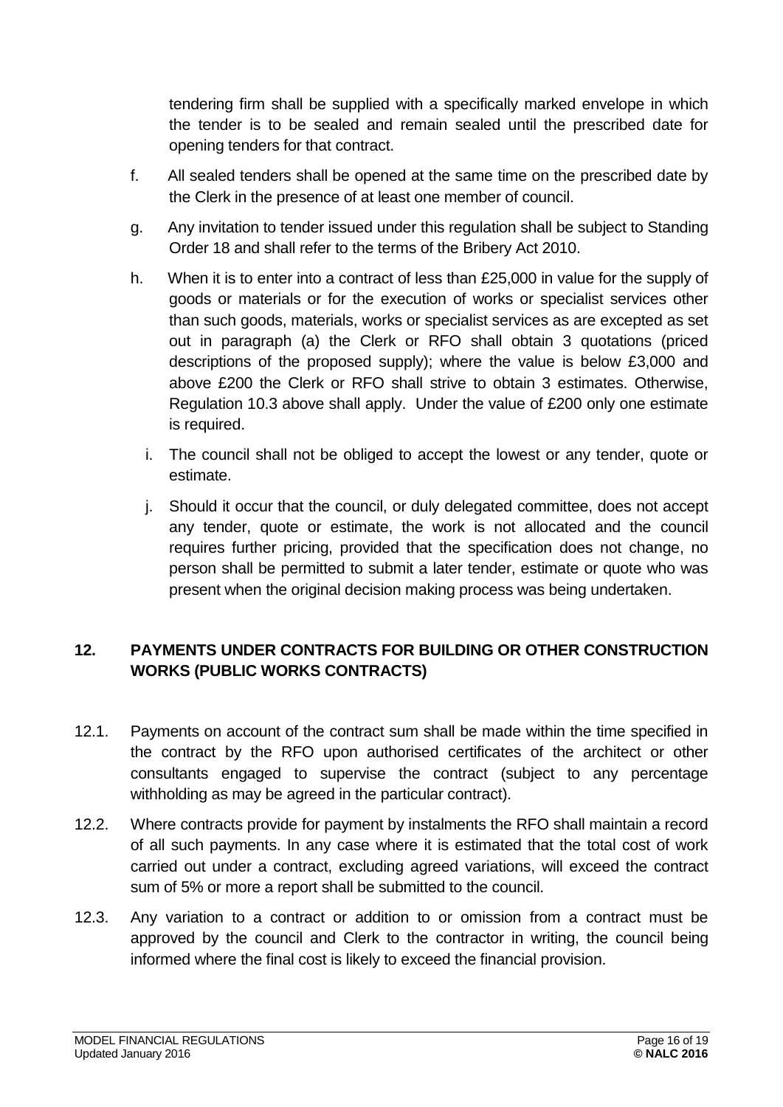tendering firm shall be supplied with a specifically marked envelope in which the tender is to be sealed and remain sealed until the prescribed date for opening tenders for that contract.

- f. All sealed tenders shall be opened at the same time on the prescribed date by the Clerk in the presence of at least one member of council.
- g. Any invitation to tender issued under this regulation shall be subject to Standing Order 18 and shall refer to the terms of the Bribery Act 2010.
- h. When it is to enter into a contract of less than £25,000 in value for the supply of goods or materials or for the execution of works or specialist services other than such goods, materials, works or specialist services as are excepted as set out in paragraph (a) the Clerk or RFO shall obtain 3 quotations (priced descriptions of the proposed supply); where the value is below £3,000 and above £200 the Clerk or RFO shall strive to obtain 3 estimates. Otherwise, Regulation 10.3 above shall apply. Under the value of £200 only one estimate is required.
	- i. The council shall not be obliged to accept the lowest or any tender, quote or estimate.
	- j. Should it occur that the council, or duly delegated committee, does not accept any tender, quote or estimate, the work is not allocated and the council requires further pricing, provided that the specification does not change, no person shall be permitted to submit a later tender, estimate or quote who was present when the original decision making process was being undertaken.

# <span id="page-15-0"></span>**12. PAYMENTS UNDER CONTRACTS FOR BUILDING OR OTHER CONSTRUCTION WORKS (PUBLIC WORKS CONTRACTS)**

- 12.1. Payments on account of the contract sum shall be made within the time specified in the contract by the RFO upon authorised certificates of the architect or other consultants engaged to supervise the contract (subject to any percentage withholding as may be agreed in the particular contract).
- 12.2. Where contracts provide for payment by instalments the RFO shall maintain a record of all such payments. In any case where it is estimated that the total cost of work carried out under a contract, excluding agreed variations, will exceed the contract sum of 5% or more a report shall be submitted to the council.
- 12.3. Any variation to a contract or addition to or omission from a contract must be approved by the council and Clerk to the contractor in writing, the council being informed where the final cost is likely to exceed the financial provision.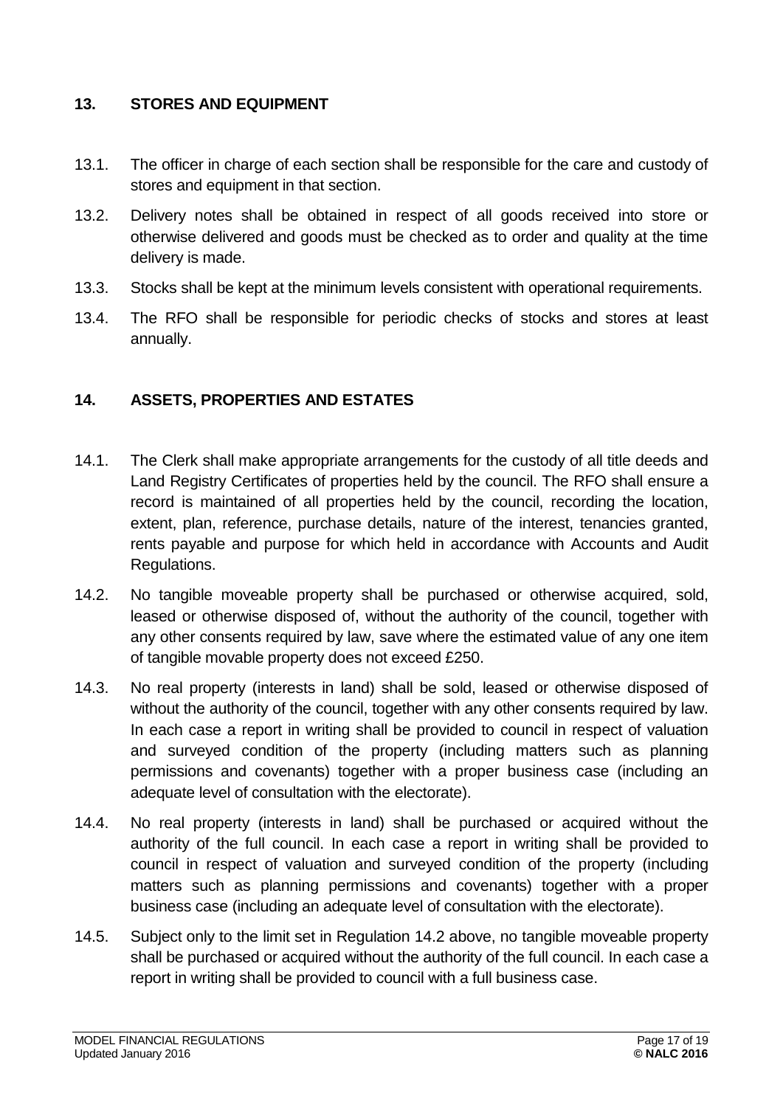### <span id="page-16-0"></span>**13. STORES AND EQUIPMENT**

- 13.1. The officer in charge of each section shall be responsible for the care and custody of stores and equipment in that section.
- 13.2. Delivery notes shall be obtained in respect of all goods received into store or otherwise delivered and goods must be checked as to order and quality at the time delivery is made.
- 13.3. Stocks shall be kept at the minimum levels consistent with operational requirements.
- 13.4. The RFO shall be responsible for periodic checks of stocks and stores at least annually.

# <span id="page-16-1"></span>**14. ASSETS, PROPERTIES AND ESTATES**

- 14.1. The Clerk shall make appropriate arrangements for the custody of all title deeds and Land Registry Certificates of properties held by the council. The RFO shall ensure a record is maintained of all properties held by the council, recording the location, extent, plan, reference, purchase details, nature of the interest, tenancies granted, rents payable and purpose for which held in accordance with Accounts and Audit Regulations.
- 14.2. No tangible moveable property shall be purchased or otherwise acquired, sold, leased or otherwise disposed of, without the authority of the council, together with any other consents required by law, save where the estimated value of any one item of tangible movable property does not exceed £250.
- 14.3. No real property (interests in land) shall be sold, leased or otherwise disposed of without the authority of the council, together with any other consents required by law. In each case a report in writing shall be provided to council in respect of valuation and surveyed condition of the property (including matters such as planning permissions and covenants) together with a proper business case (including an adequate level of consultation with the electorate).
- 14.4. No real property (interests in land) shall be purchased or acquired without the authority of the full council. In each case a report in writing shall be provided to council in respect of valuation and surveyed condition of the property (including matters such as planning permissions and covenants) together with a proper business case (including an adequate level of consultation with the electorate).
- 14.5. Subject only to the limit set in Regulation 14.2 above, no tangible moveable property shall be purchased or acquired without the authority of the full council. In each case a report in writing shall be provided to council with a full business case.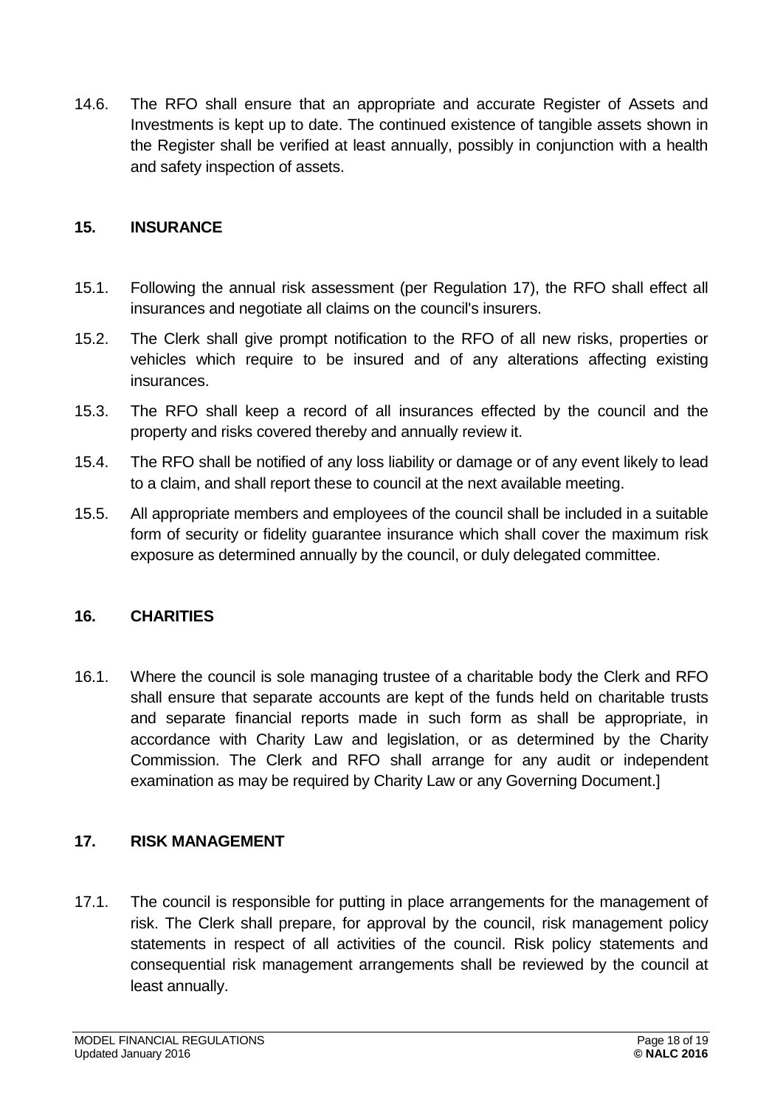14.6. The RFO shall ensure that an appropriate and accurate Register of Assets and Investments is kept up to date. The continued existence of tangible assets shown in the Register shall be verified at least annually, possibly in conjunction with a health and safety inspection of assets.

# <span id="page-17-0"></span>**15. INSURANCE**

- 15.1. Following the annual risk assessment (per Regulation 17), the RFO shall effect all insurances and negotiate all claims on the council's insurers.
- 15.2. The Clerk shall give prompt notification to the RFO of all new risks, properties or vehicles which require to be insured and of any alterations affecting existing insurances.
- 15.3. The RFO shall keep a record of all insurances effected by the council and the property and risks covered thereby and annually review it.
- 15.4. The RFO shall be notified of any loss liability or damage or of any event likely to lead to a claim, and shall report these to council at the next available meeting.
- 15.5. All appropriate members and employees of the council shall be included in a suitable form of security or fidelity guarantee insurance which shall cover the maximum risk exposure as determined annually by the council, or duly delegated committee.

# <span id="page-17-1"></span>**16. CHARITIES**

16.1. Where the council is sole managing trustee of a charitable body the Clerk and RFO shall ensure that separate accounts are kept of the funds held on charitable trusts and separate financial reports made in such form as shall be appropriate, in accordance with Charity Law and legislation, or as determined by the Charity Commission. The Clerk and RFO shall arrange for any audit or independent examination as may be required by Charity Law or any Governing Document.]

# <span id="page-17-2"></span>**17. RISK MANAGEMENT**

17.1. The council is responsible for putting in place arrangements for the management of risk. The Clerk shall prepare, for approval by the council, risk management policy statements in respect of all activities of the council. Risk policy statements and consequential risk management arrangements shall be reviewed by the council at least annually.